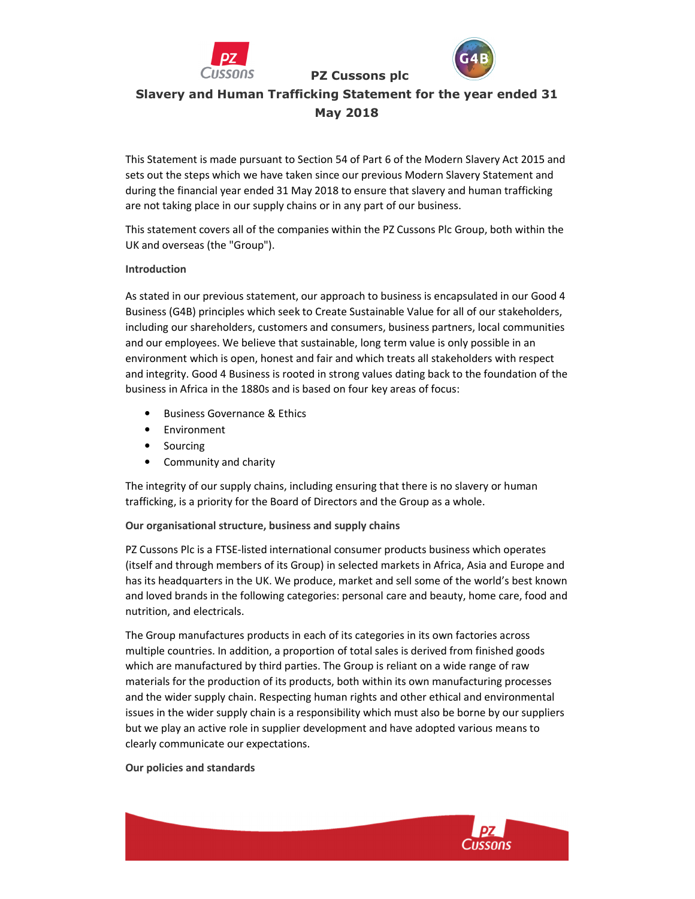

Slavery and Human Trafficking Statement for the year ended 31 May 2018

PZ Cussons plc

This Statement is made pursuant to Section 54 of Part 6 of the Modern Slavery Act 2015 and sets out the steps which we have taken since our previous Modern Slavery Statement and during the financial year ended 31 May 2018 to ensure that slavery and human trafficking are not taking place in our supply chains or in any part of our business.

This statement covers all of the companies within the PZ Cussons Plc Group, both within the UK and overseas (the "Group").

## Introduction

As stated in our previous statement, our approach to business is encapsulated in our Good 4 Business (G4B) principles which seek to Create Sustainable Value for all of our stakeholders, including our shareholders, customers and consumers, business partners, local communities and our employees. We believe that sustainable, long term value is only possible in an environment which is open, honest and fair and which treats all stakeholders with respect and integrity. Good 4 Business is rooted in strong values dating back to the foundation of the business in Africa in the 1880s and is based on four key areas of focus:

- Business Governance & Ethics
- Environment
- Sourcing
- Community and charity

The integrity of our supply chains, including ensuring that there is no slavery or human trafficking, is a priority for the Board of Directors and the Group as a whole.

## Our organisational structure, business and supply chains

PZ Cussons Plc is a FTSE-listed international consumer products business which operates (itself and through members of its Group) in selected markets in Africa, Asia and Europe and has its headquarters in the UK. We produce, market and sell some of the world's best known and loved brands in the following categories: personal care and beauty, home care, food and nutrition, and electricals.

The Group manufactures products in each of its categories in its own factories across multiple countries. In addition, a proportion of total sales is derived from finished goods which are manufactured by third parties. The Group is reliant on a wide range of raw materials for the production of its products, both within its own manufacturing processes and the wider supply chain. Respecting human rights and other ethical and environmental issues in the wider supply chain is a responsibility which must also be borne by our suppliers but we play an active role in supplier development and have adopted various means to clearly communicate our expectations.

## Our policies and standards

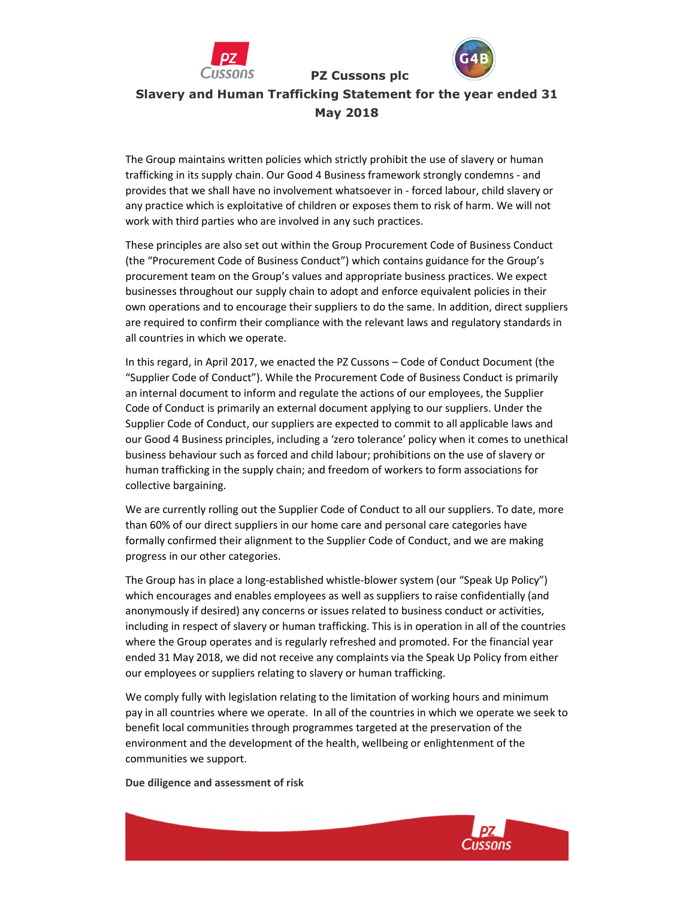



Slavery and Human Trafficking Statement for the year ended 31 May 2018

PZ Cussons plc

The Group maintains written policies which strictly prohibit the use of slavery or human trafficking in its supply chain. Our Good 4 Business framework strongly condemns - and provides that we shall have no involvement whatsoever in - forced labour, child slavery or any practice which is exploitative of children or exposes them to risk of harm. We will not work with third parties who are involved in any such practices.

These principles are also set out within the Group Procurement Code of Business Conduct (the "Procurement Code of Business Conduct") which contains guidance for the Group's procurement team on the Group's values and appropriate business practices. We expect businesses throughout our supply chain to adopt and enforce equivalent policies in their own operations and to encourage their suppliers to do the same. In addition, direct suppliers are required to confirm their compliance with the relevant laws and regulatory standards in all countries in which we operate.

In this regard, in April 2017, we enacted the PZ Cussons – Code of Conduct Document (the "Supplier Code of Conduct"). While the Procurement Code of Business Conduct is primarily an internal document to inform and regulate the actions of our employees, the Supplier Code of Conduct is primarily an external document applying to our suppliers. Under the Supplier Code of Conduct, our suppliers are expected to commit to all applicable laws and our Good 4 Business principles, including a 'zero tolerance' policy when it comes to unethical business behaviour such as forced and child labour; prohibitions on the use of slavery or human trafficking in the supply chain; and freedom of workers to form associations for collective bargaining.

We are currently rolling out the Supplier Code of Conduct to all our suppliers. To date, more than 60% of our direct suppliers in our home care and personal care categories have formally confirmed their alignment to the Supplier Code of Conduct, and we are making progress in our other categories.

The Group has in place a long-established whistle-blower system (our "Speak Up Policy") which encourages and enables employees as well as suppliers to raise confidentially (and anonymously if desired) any concerns or issues related to business conduct or activities, including in respect of slavery or human trafficking. This is in operation in all of the countries where the Group operates and is regularly refreshed and promoted. For the financial year ended 31 May 2018, we did not receive any complaints via the Speak Up Policy from either our employees or suppliers relating to slavery or human trafficking.

We comply fully with legislation relating to the limitation of working hours and minimum pay in all countries where we operate. In all of the countries in which we operate we seek to benefit local communities through programmes targeted at the preservation of the environment and the development of the health, wellbeing or enlightenment of the communities we support.

#### Due diligence and assessment of risk